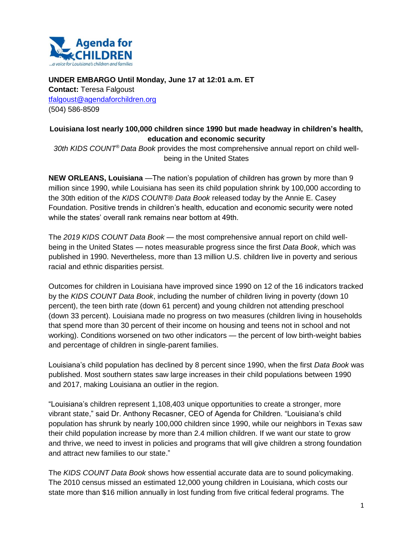

**UNDER EMBARGO Until Monday, June 17 at 12:01 a.m. ET Contact:** Teresa Falgoust [tfalgoust@agendaforchildren.org](mailto:tfalgoust@agendaforchildren.org) (504) 586-8509

## **Louisiana lost nearly 100,000 children since 1990 but made headway in children's health, education and economic security**

*30th KIDS COUNT® Data Book* provides the most comprehensive annual report on child wellbeing in the United States

**NEW ORLEANS, Louisiana** —The nation's population of children has grown by more than 9 million since 1990, while Louisiana has seen its child population shrink by 100,000 according to the 30th edition of the *KIDS COUNT® Data Book* released today by the Annie E. Casey Foundation. Positive trends in children's health, education and economic security were noted while the states' overall rank remains near bottom at 49th.

The *2019 KIDS COUNT Data Book* — the most comprehensive annual report on child wellbeing in the United States — notes measurable progress since the first *Data Book*, which was published in 1990. Nevertheless, more than 13 million U.S. children live in poverty and serious racial and ethnic disparities persist.

Outcomes for children in Louisiana have improved since 1990 on 12 of the 16 indicators tracked by the *KIDS COUNT Data Book*, including the number of children living in poverty (down 10 percent), the teen birth rate (down 61 percent) and young children not attending preschool (down 33 percent). Louisiana made no progress on two measures (children living in households that spend more than 30 percent of their income on housing and teens not in school and not working). Conditions worsened on two other indicators — the percent of low birth-weight babies and percentage of children in single-parent families.

Louisiana's child population has declined by 8 percent since 1990, when the first *Data Book* was published. Most southern states saw large increases in their child populations between 1990 and 2017, making Louisiana an outlier in the region.

"Louisiana's children represent 1,108,403 unique opportunities to create a stronger, more vibrant state," said Dr. Anthony Recasner, CEO of Agenda for Children. "Louisiana's child population has shrunk by nearly 100,000 children since 1990, while our neighbors in Texas saw their child population increase by more than 2.4 million children. If we want our state to grow and thrive, we need to invest in policies and programs that will give children a strong foundation and attract new families to our state."

The *KIDS COUNT Data Book* shows how essential accurate data are to sound policymaking. The 2010 census missed an estimated 12,000 young children in Louisiana, which costs our state more than \$16 million annually in lost funding from five critical federal programs. The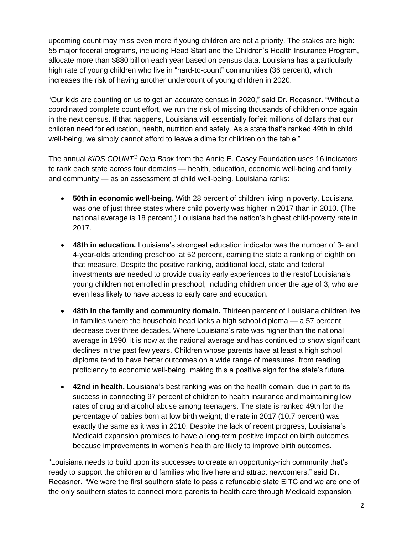upcoming count may miss even more if young children are not a priority. The stakes are high: 55 major federal programs, including Head Start and the Children's Health Insurance Program, allocate more than \$880 billion each year based on census data. Louisiana has a particularly high rate of young children who live in "hard-to-count" communities (36 percent), which increases the risk of having another undercount of young children in 2020.

"Our kids are counting on us to get an accurate census in 2020," said Dr. Recasner. "Without a coordinated complete count effort, we run the risk of missing thousands of children once again in the next census. If that happens, Louisiana will essentially forfeit millions of dollars that our children need for education, health, nutrition and safety. As a state that's ranked 49th in child well-being, we simply cannot afford to leave a dime for children on the table."

The annual *KIDS COUNT® Data Book* from the Annie E. Casey Foundation uses 16 indicators to rank each state across four domains — health, education, economic well-being and family and community — as an assessment of child well-being. Louisiana ranks:

- **50th in economic well-being.** With 28 percent of children living in poverty, Louisiana was one of just three states where child poverty was higher in 2017 than in 2010. (The national average is 18 percent.) Louisiana had the nation's highest child-poverty rate in 2017.
- **48th in education.** Louisiana's strongest education indicator was the number of 3- and 4-year-olds attending preschool at 52 percent, earning the state a ranking of eighth on that measure. Despite the positive ranking, additional local, state and federal investments are needed to provide quality early experiences to the restof Louisiana's young children not enrolled in preschool, including children under the age of 3, who are even less likely to have access to early care and education.
- **48th in the family and community domain.** Thirteen percent of Louisiana children live in families where the household head lacks a high school diploma — a 57 percent decrease over three decades. Where Louisiana's rate was higher than the national average in 1990, it is now at the national average and has continued to show significant declines in the past few years. Children whose parents have at least a high school diploma tend to have better outcomes on a wide range of measures, from reading proficiency to economic well-being, making this a positive sign for the state's future.
- **42nd in health.** Louisiana's best ranking was on the health domain, due in part to its success in connecting 97 percent of children to health insurance and maintaining low rates of drug and alcohol abuse among teenagers. The state is ranked 49th for the percentage of babies born at low birth weight; the rate in 2017 (10.7 percent) was exactly the same as it was in 2010. Despite the lack of recent progress, Louisiana's Medicaid expansion promises to have a long-term positive impact on birth outcomes because improvements in women's health are likely to improve birth outcomes.

"Louisiana needs to build upon its successes to create an opportunity-rich community that's ready to support the children and families who live here and attract newcomers," said Dr. Recasner. "We were the first southern state to pass a refundable state EITC and we are one of the only southern states to connect more parents to health care through Medicaid expansion.